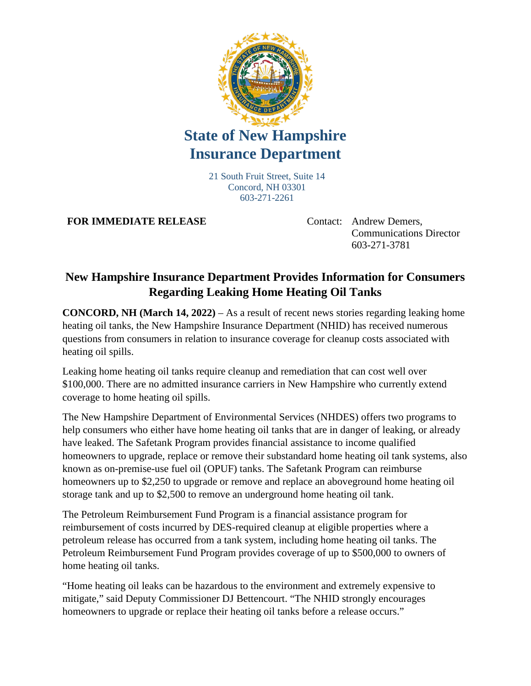

## **State of New Hampshire Insurance Department**

21 South Fruit Street, Suite 14 Concord, NH 03301 603-271-2261

**FOR IMMEDIATE RELEASE** Contact: Andrew Demers,

Communications Director 603-271-3781

## **New Hampshire Insurance Department Provides Information for Consumers Regarding Leaking Home Heating Oil Tanks**

**CONCORD, NH (March 14, 2022)** – As a result of recent news stories regarding leaking home heating oil tanks, the New Hampshire Insurance Department (NHID) has received numerous questions from consumers in relation to insurance coverage for cleanup costs associated with heating oil spills.

Leaking home heating oil tanks require cleanup and remediation that can cost well over \$100,000. There are no admitted insurance carriers in New Hampshire who currently extend coverage to home heating oil spills.

The New Hampshire Department of Environmental Services (NHDES) offers two programs to help consumers who either have home heating oil tanks that are in danger of leaking, or already have leaked. The Safetank Program provides financial assistance to income qualified homeowners to upgrade, replace or remove their substandard home heating oil tank systems, also known as on-premise-use fuel oil (OPUF) tanks. The Safetank Program can reimburse homeowners up to \$2,250 to upgrade or remove and replace an aboveground home heating oil storage tank and up to \$2,500 to remove an underground home heating oil tank.

The Petroleum Reimbursement Fund Program is a financial assistance program for reimbursement of costs incurred by DES-required cleanup at eligible properties where a petroleum release has occurred from a tank system, including home heating oil tanks. The Petroleum Reimbursement Fund Program provides coverage of up to \$500,000 to owners of home heating oil tanks.

"Home heating oil leaks can be hazardous to the environment and extremely expensive to mitigate," said Deputy Commissioner DJ Bettencourt. "The NHID strongly encourages homeowners to upgrade or replace their heating oil tanks before a release occurs."